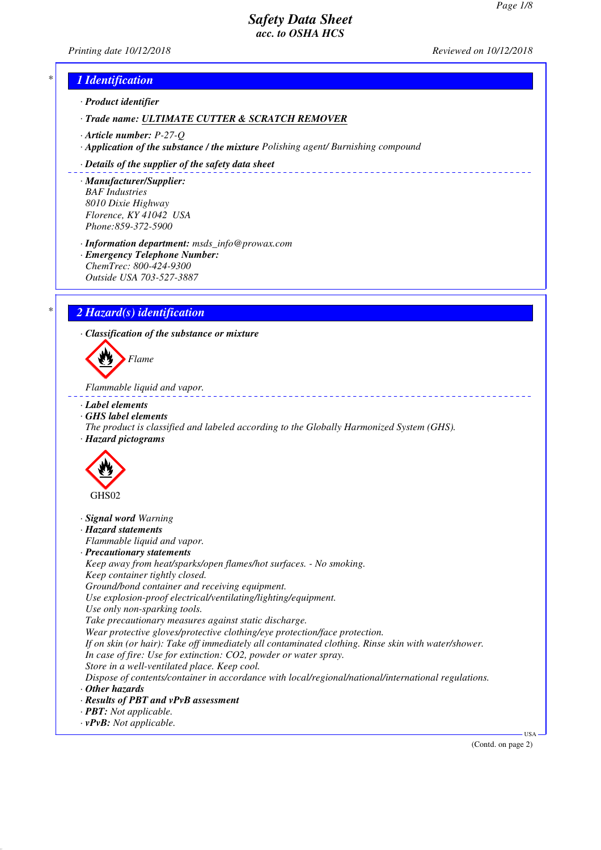*Printing date 10/12/2018 Reviewed on 10/12/2018*

# *\* 1 Identification*

*· Product identifier*

*· Trade name: ULTIMATE CUTTER & SCRATCH REMOVER*

- *· Article number: P-27-Q*
- *· Application of the substance / the mixture Polishing agent/ Burnishing compound*

#### *· Details of the supplier of the safety data sheet*

*· Manufacturer/Supplier: BAF Industries 8010 Dixie Highway Florence, KY 41042 USA Phone:859-372-5900*

*· Information department: msds\_info@prowax.com*

*· Emergency Telephone Number: ChemTrec: 800-424-9300 Outside USA 703-527-3887*

# *\* 2 Hazard(s) identification*

*· Classification of the substance or mixture*



*Flammable liquid and vapor.* 

- *· Label elements*
- *· GHS label elements*
- *The product is classified and labeled according to the Globally Harmonized System (GHS). · Hazard pictograms*



- *· Signal word Warning*
- *· Hazard statements*
- *Flammable liquid and vapor.*
- *· Precautionary statements*
- *Keep away from heat/sparks/open flames/hot surfaces. No smoking. Keep container tightly closed.*
- *Ground/bond container and receiving equipment.*
- *Use explosion-proof electrical/ventilating/lighting/equipment.*
- *Use only non-sparking tools.*
- *Take precautionary measures against static discharge.*
- *Wear protective gloves/protective clothing/eye protection/face protection.*
- *If on skin (or hair): Take off immediately all contaminated clothing. Rinse skin with water/shower.*
- *In case of fire: Use for extinction: CO2, powder or water spray.*
- *Store in a well-ventilated place. Keep cool.*
- *Dispose of contents/container in accordance with local/regional/national/international regulations. · Other hazards*
- 
- *· Results of PBT and vPvB assessment*
- *· PBT: Not applicable.*
- *· vPvB: Not applicable.*

(Contd. on page 2)

USA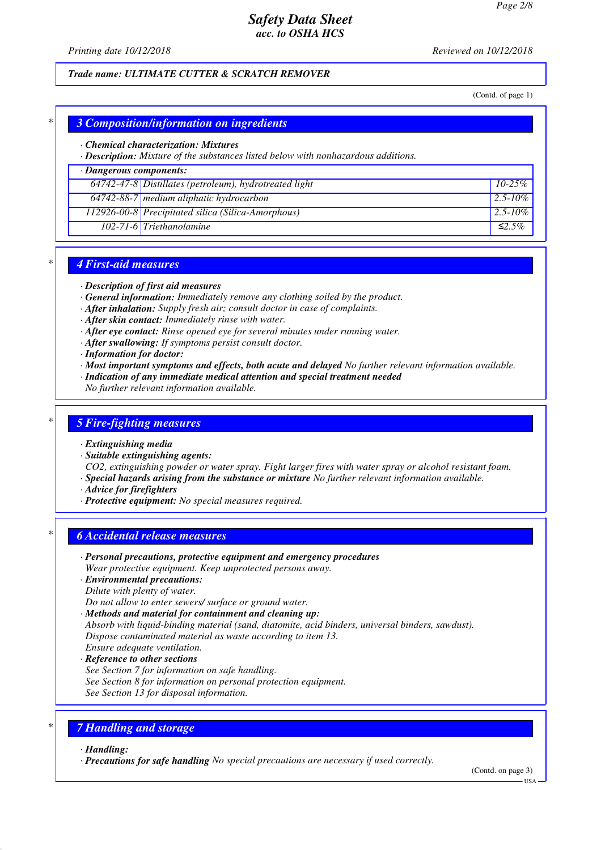*Printing date 10/12/2018 Reviewed on 10/12/2018*

#### *Trade name: ULTIMATE CUTTER & SCRATCH REMOVER*

(Contd. of page 1)

### *\* 3 Composition/information on ingredients*

#### *· Chemical characterization: Mixtures*

*· Description: Mixture of the substances listed below with nonhazardous additions.*

## *· Dangerous components:*

| $64742-47-8$ Distillates (petroleum), hydrotreated light | $10-25\%$    |
|----------------------------------------------------------|--------------|
| 64742-88-7 medium aliphatic hydrocarbon                  | 2.5-10%      |
| 112926-00-8 Precipitated silica (Silica-Amorphous)       | 2.5-10\%     |
| $102-71-6$ Triethanolamine                               | $\leq 2.5\%$ |

#### *\* 4 First-aid measures*

*· Description of first aid measures*

- *· General information: Immediately remove any clothing soiled by the product.*
- *· After inhalation: Supply fresh air; consult doctor in case of complaints.*
- *· After skin contact: Immediately rinse with water.*
- *· After eye contact: Rinse opened eye for several minutes under running water.*
- *· After swallowing: If symptoms persist consult doctor.*
- *· Information for doctor:*
- *· Most important symptoms and effects, both acute and delayed No further relevant information available.*
- *· Indication of any immediate medical attention and special treatment needed*
- *No further relevant information available.*

#### *\* 5 Fire-fighting measures*

#### *· Extinguishing media*

*· Suitable extinguishing agents:*

*CO2, extinguishing powder or water spray. Fight larger fires with water spray or alcohol resistant foam. · Special hazards arising from the substance or mixture No further relevant information available.*

- *· Advice for firefighters*
- *· Protective equipment: No special measures required.*

#### *\* 6 Accidental release measures*

*· Personal precautions, protective equipment and emergency procedures*

*Wear protective equipment. Keep unprotected persons away.*

- *· Environmental precautions: Dilute with plenty of water.*
- *Do not allow to enter sewers/ surface or ground water.*
- 
- *· Methods and material for containment and cleaning up: Absorb with liquid-binding material (sand, diatomite, acid binders, universal binders, sawdust).*
- *Dispose contaminated material as waste according to item 13.*
- *Ensure adequate ventilation.*
- *· Reference to other sections*
- *See Section 7 for information on safe handling.*
- *See Section 8 for information on personal protection equipment.*

*See Section 13 for disposal information.*

### *\* 7 Handling and storage*

#### *· Handling:*

*· Precautions for safe handling No special precautions are necessary if used correctly.*

(Contd. on page 3)

USA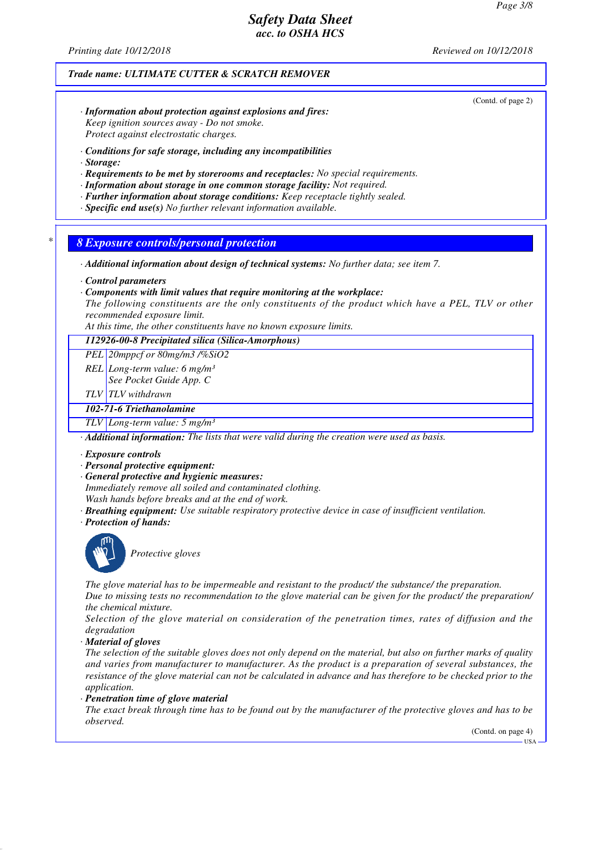*Printing date 10/12/2018 Reviewed on 10/12/2018*

#### *Trade name: ULTIMATE CUTTER & SCRATCH REMOVER*

(Contd. of page 2)

- *· Information about protection against explosions and fires: Keep ignition sources away - Do not smoke. Protect against electrostatic charges.*
- *· Conditions for safe storage, including any incompatibilities*
- *· Storage:*
- *· Requirements to be met by storerooms and receptacles: No special requirements.*
- *· Information about storage in one common storage facility: Not required.*
- *· Further information about storage conditions: Keep receptacle tightly sealed.*
- *· Specific end use(s) No further relevant information available.*

*\* 8 Exposure controls/personal protection*

*· Additional information about design of technical systems: No further data; see item 7.*

*· Control parameters*

- *· Components with limit values that require monitoring at the workplace:*
- *The following constituents are the only constituents of the product which have a PEL, TLV or other recommended exposure limit.*

*At this time, the other constituents have no known exposure limits.*

*112926-00-8 Precipitated silica (Silica-Amorphous)*

*PEL 20mppcf or 80mg/m3 /%SiO2*

- *REL Long-term value: 6 mg/m³*
	- *See Pocket Guide App. C*

*TLV TLV withdrawn*

#### *102-71-6 Triethanolamine*

*TLV Long-term value: 5 mg/m³*

*· Additional information: The lists that were valid during the creation were used as basis.*

- *· Exposure controls*
- *· Personal protective equipment:*
- *· General protective and hygienic measures:*

*Immediately remove all soiled and contaminated clothing.*

- *Wash hands before breaks and at the end of work.*
- *· Breathing equipment: Use suitable respiratory protective device in case of insufficient ventilation.*
- *· Protection of hands:*



*Protective gloves*

*The glove material has to be impermeable and resistant to the product/ the substance/ the preparation. Due to missing tests no recommendation to the glove material can be given for the product/ the preparation/ the chemical mixture.*

*Selection of the glove material on consideration of the penetration times, rates of diffusion and the degradation*

*· Material of gloves*

*The selection of the suitable gloves does not only depend on the material, but also on further marks of quality and varies from manufacturer to manufacturer. As the product is a preparation of several substances, the resistance of the glove material can not be calculated in advance and has therefore to be checked prior to the application.*

*· Penetration time of glove material*

*The exact break through time has to be found out by the manufacturer of the protective gloves and has to be observed.*

(Contd. on page 4)

 $-11S_A$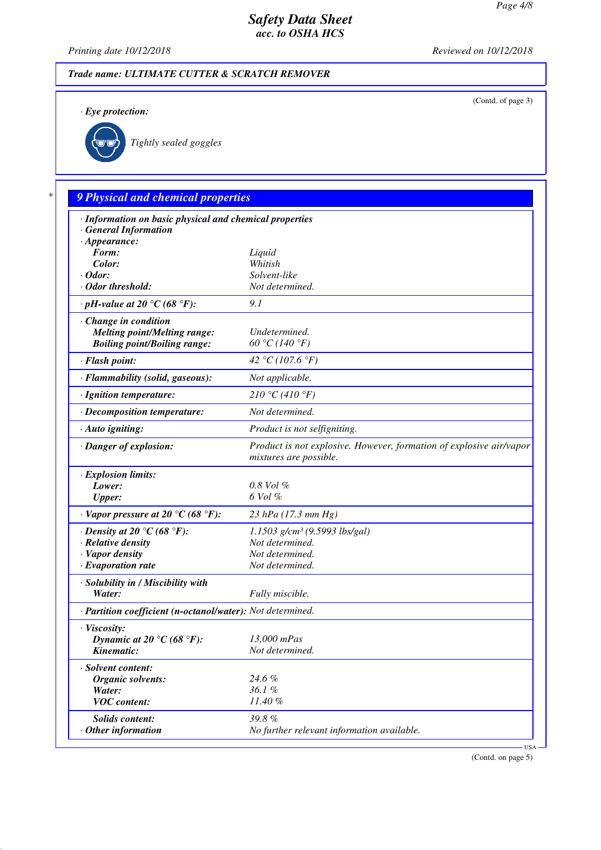(Contd. of page 3)

# *Safety Data Sheet acc. to OSHA HCS*

*Printing date 10/12/2018 Reviewed on 10/12/2018*

# *Trade name: ULTIMATE CUTTER & SCRATCH REMOVER*

*· Eye protection:*



*Tightly sealed goggles*

# *\* 9 Physical and chemical properties*

| <b>General Information</b><br>$\cdot$ Appearance:<br>Form:<br>Liquid<br>Color:<br>Whitish<br>Solvent-like<br>$\cdot$ Odor:<br>Not determined.<br>· Odor threshold:<br>9.1<br>$\cdot$ pH-value at 20 $\degree$ C (68 $\degree$ F):<br>$\cdot$ Change in condition<br><b>Melting point/Melting range:</b><br>Undetermined.<br>60 °C (140 °F)<br><b>Boiling point/Boiling range:</b><br>42 °C (107.6 °F) |
|-------------------------------------------------------------------------------------------------------------------------------------------------------------------------------------------------------------------------------------------------------------------------------------------------------------------------------------------------------------------------------------------------------|
|                                                                                                                                                                                                                                                                                                                                                                                                       |
|                                                                                                                                                                                                                                                                                                                                                                                                       |
|                                                                                                                                                                                                                                                                                                                                                                                                       |
|                                                                                                                                                                                                                                                                                                                                                                                                       |
|                                                                                                                                                                                                                                                                                                                                                                                                       |
|                                                                                                                                                                                                                                                                                                                                                                                                       |
|                                                                                                                                                                                                                                                                                                                                                                                                       |
|                                                                                                                                                                                                                                                                                                                                                                                                       |
|                                                                                                                                                                                                                                                                                                                                                                                                       |
|                                                                                                                                                                                                                                                                                                                                                                                                       |
| · Flash point:                                                                                                                                                                                                                                                                                                                                                                                        |
| Not applicable.<br>· Flammability (solid, gaseous):                                                                                                                                                                                                                                                                                                                                                   |
| 210 °C (410 °F)<br>· Ignition temperature:                                                                                                                                                                                                                                                                                                                                                            |
| Not determined.<br>· Decomposition temperature:                                                                                                                                                                                                                                                                                                                                                       |
| Product is not selfigniting.<br>· Auto igniting:                                                                                                                                                                                                                                                                                                                                                      |
| · Danger of explosion:<br>Product is not explosive. However, formation of explosive air/vapor<br>mixtures are possible.                                                                                                                                                                                                                                                                               |
| · Explosion limits:                                                                                                                                                                                                                                                                                                                                                                                   |
| $0.8$ Vol $%$<br>Lower:                                                                                                                                                                                                                                                                                                                                                                               |
| 6 Vol %<br><b>Upper:</b>                                                                                                                                                                                                                                                                                                                                                                              |
| $\cdot$ Vapor pressure at 20 °C (68 °F):<br>23 hPa (17.3 mm Hg)                                                                                                                                                                                                                                                                                                                                       |
| $1.1503$ g/cm <sup>3</sup> (9.5993 lbs/gal)<br>$\cdot$ Density at 20 °C (68 °F):                                                                                                                                                                                                                                                                                                                      |
| Not determined.<br>· Relative density                                                                                                                                                                                                                                                                                                                                                                 |
| Not determined.<br>· Vapor density                                                                                                                                                                                                                                                                                                                                                                    |
| $\cdot$ Evaporation rate<br>Not determined.                                                                                                                                                                                                                                                                                                                                                           |
| · Solubility in / Miscibility with                                                                                                                                                                                                                                                                                                                                                                    |
| Water:<br>Fully miscible.                                                                                                                                                                                                                                                                                                                                                                             |
|                                                                                                                                                                                                                                                                                                                                                                                                       |
| · Partition coefficient (n-octanol/water): Not determined.                                                                                                                                                                                                                                                                                                                                            |
| · Viscosity:                                                                                                                                                                                                                                                                                                                                                                                          |
| Dynamic at 20 °C (68 °F):<br>13,000 mPas                                                                                                                                                                                                                                                                                                                                                              |
| Kinematic:<br>Not determined.                                                                                                                                                                                                                                                                                                                                                                         |
| · Solvent content:                                                                                                                                                                                                                                                                                                                                                                                    |
| 24.6 %<br><b>Organic solvents:</b>                                                                                                                                                                                                                                                                                                                                                                    |
| 36.1%<br>Water:                                                                                                                                                                                                                                                                                                                                                                                       |
| <b>VOC</b> content:<br>11.40 %                                                                                                                                                                                                                                                                                                                                                                        |
| 39.8%<br>Solids content:                                                                                                                                                                                                                                                                                                                                                                              |
| No further relevant information available.<br>$\cdot$ Other information                                                                                                                                                                                                                                                                                                                               |
|                                                                                                                                                                                                                                                                                                                                                                                                       |

(Contd. on page 5)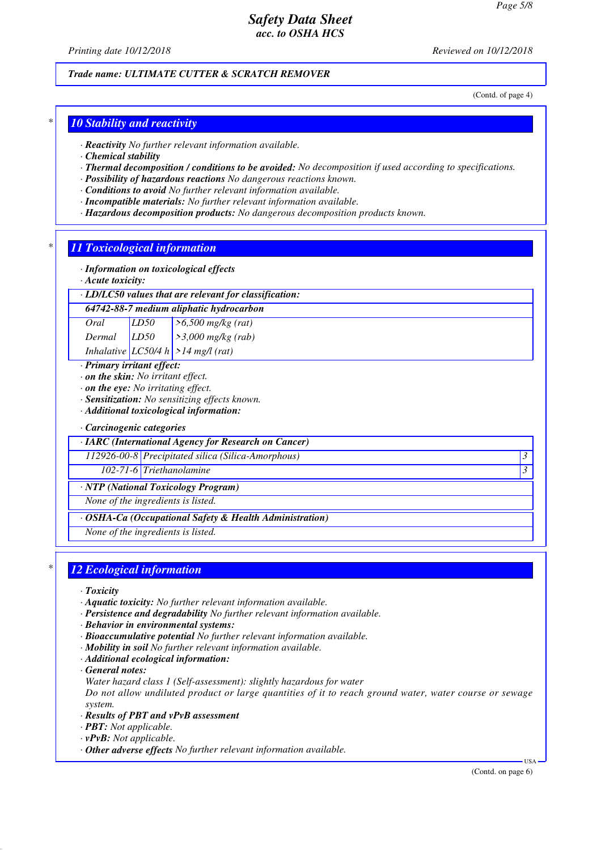*Printing date 10/12/2018 Reviewed on 10/12/2018*

#### *Trade name: ULTIMATE CUTTER & SCRATCH REMOVER*

(Contd. of page 4)

### *\* 10 Stability and reactivity*

*· Reactivity No further relevant information available.*

*· Chemical stability*

- *· Thermal decomposition / conditions to be avoided: No decomposition if used according to specifications.*
- *· Possibility of hazardous reactions No dangerous reactions known.*
- *· Conditions to avoid No further relevant information available.*
- *· Incompatible materials: No further relevant information available.*
- *· Hazardous decomposition products: No dangerous decomposition products known.*

#### *\* 11 Toxicological information*

- *· Information on toxicological effects*
- *· Acute toxicity:*
- *· LD/LC50 values that are relevant for classification:*

*64742-88-7 medium aliphatic hydrocarbon*

*Oral LD50 >6,500 mg/kg (rat)*

*Dermal LD50 >3,000 mg/kg (rab) Inhalative LC50/4 h >14 mg/l (rat)*

*· Primary irritant effect:*

- *· on the skin: No irritant effect.*
- *· on the eye: No irritating effect.*
- *· Sensitization: No sensitizing effects known.*
- *· Additional toxicological information:*

#### *· Carcinogenic categories*

*· IARC (International Agency for Research on Cancer)*

*112926-00-8 Precipitated silica (Silica-Amorphous) 3* 

*102-71-6 Triethanolamine 3* 

#### *· NTP (National Toxicology Program)*

*None of the ingredients is listed.*

#### *· OSHA-Ca (Occupational Safety & Health Administration)*

*None of the ingredients is listed.*

## *\* 12 Ecological information*

- *· Toxicity*
- *· Aquatic toxicity: No further relevant information available.*
- *· Persistence and degradability No further relevant information available.*
- *· Behavior in environmental systems:*
- *· Bioaccumulative potential No further relevant information available.*
- *· Mobility in soil No further relevant information available.*
- *· Additional ecological information:*
- *· General notes:*
- *Water hazard class 1 (Self-assessment): slightly hazardous for water*

*Do not allow undiluted product or large quantities of it to reach ground water, water course or sewage system.*

- *· Results of PBT and vPvB assessment*
- *· PBT: Not applicable.*
- *· vPvB: Not applicable.*
- *· Other adverse effects No further relevant information available.*

(Contd. on page 6)

USA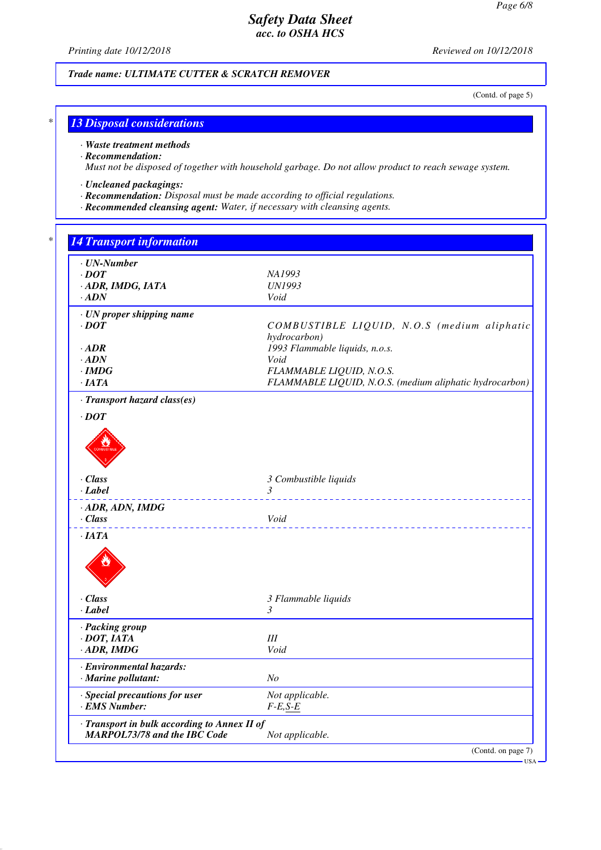*Printing date 10/12/2018 Reviewed on 10/12/2018*

## *Trade name: ULTIMATE CUTTER & SCRATCH REMOVER*

(Contd. of page 5)

# *\* 13 Disposal considerations*

*· Waste treatment methods*

*· Recommendation:*

*Must not be disposed of together with household garbage. Do not allow product to reach sewage system.*

- *· Uncleaned packagings:*
- *· Recommendation: Disposal must be made according to official regulations.*
- *· Recommended cleansing agent: Water, if necessary with cleansing agents.*

| $\cdot$ UN-Number<br>$\cdot$ DOT             | NA1993                                                  |
|----------------------------------------------|---------------------------------------------------------|
| · ADR, IMDG, IATA                            | <b>UN1993</b>                                           |
| $\cdot$ ADN                                  | Void                                                    |
|                                              |                                                         |
| · UN proper shipping name<br>$\cdot$ DOT     | COMBUSTIBLE LIQUID, N.O.S (medium aliphatic             |
|                                              | hydrocarbon)                                            |
| $\cdot$ ADR                                  | 1993 Flammable liquids, n.o.s.                          |
| $\cdot$ ADN                                  | Void                                                    |
| $\cdot$ IMDG                                 | FLAMMABLE LIQUID, N.O.S.                                |
| $\cdot$ IATA                                 | FLAMMABLE LIQUID, N.O.S. (medium aliphatic hydrocarbon) |
| · Transport hazard class(es)                 |                                                         |
| $\cdot$ DOT                                  |                                                         |
|                                              |                                                         |
|                                              |                                                         |
|                                              |                                                         |
|                                              |                                                         |
| · Class                                      | 3 Combustible liquids                                   |
| · Label                                      | 3                                                       |
| · ADR, ADN, IMDG                             |                                                         |
| · Class                                      | Void                                                    |
| $\cdot$ IATA                                 |                                                         |
|                                              |                                                         |
|                                              |                                                         |
|                                              |                                                         |
|                                              |                                                         |
| · Class                                      | 3 Flammable liquids                                     |
| · Label                                      | 3                                                       |
| · Packing group                              |                                                         |
| $\cdot$ DOT, IATA                            | III                                                     |
| $\cdot$ ADR, IMDG                            | Void                                                    |
| · Environmental hazards:                     |                                                         |
| $\cdot$ Marine pollutant:                    | N <sub>O</sub>                                          |
| · Special precautions for user               | Not applicable.                                         |
| · EMS Number:                                | $F-E,S-E$                                               |
| · Transport in bulk according to Annex II of |                                                         |
|                                              |                                                         |

USA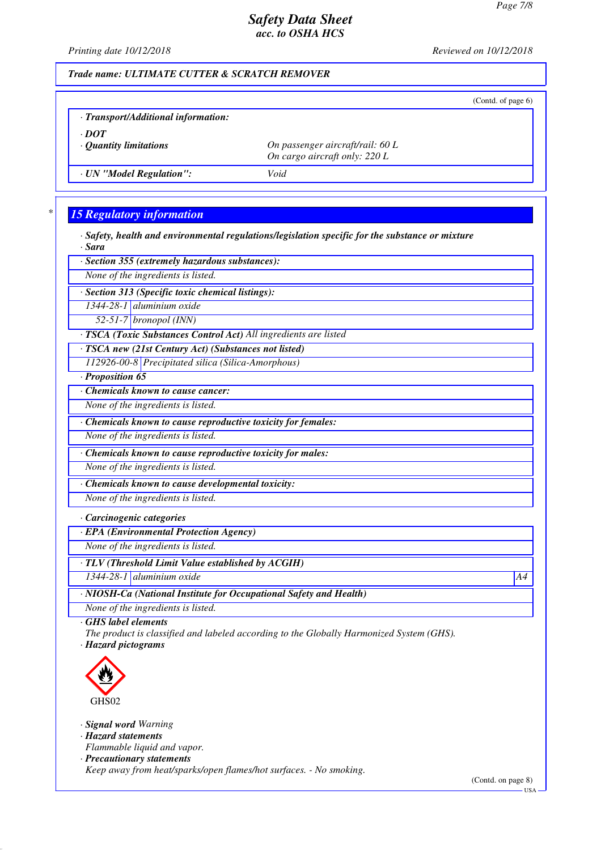*Printing date 10/12/2018 Reviewed on 10/12/2018*

### *Trade name: ULTIMATE CUTTER & SCRATCH REMOVER*

|                                             |                                                                   | (Contd. of page $6$ ) |
|---------------------------------------------|-------------------------------------------------------------------|-----------------------|
| · Transport/Additional information:         |                                                                   |                       |
| $\cdot$ DOT<br>$\cdot$ Quantity limitations | On passenger aircraft/rail: 60 L<br>On cargo aircraft only: 220 L |                       |
| · UN "Model Regulation":                    | Void                                                              |                       |
|                                             |                                                                   |                       |

# *\* 15 Regulatory information*

*· Safety, health and environmental regulations/legislation specific for the substance or mixture · Sara*

*· Section 355 (extremely hazardous substances):*

*None of the ingredients is listed.*

*· Section 313 (Specific toxic chemical listings):*

*1344-28-1 aluminium oxide*

*52-51-7 bronopol (INN)*

*· TSCA (Toxic Substances Control Act) All ingredients are listed*

*· TSCA new (21st Century Act) (Substances not listed)*

*112926-00-8 Precipitated silica (Silica-Amorphous)*

*· Proposition 65*

*· Chemicals known to cause cancer:*

*None of the ingredients is listed.*

*· Chemicals known to cause reproductive toxicity for females:*

*None of the ingredients is listed.*

*· Chemicals known to cause reproductive toxicity for males:*

*None of the ingredients is listed.*

*· Chemicals known to cause developmental toxicity:*

*None of the ingredients is listed.*

#### *· Carcinogenic categories*

*· EPA (Environmental Protection Agency)*

*None of the ingredients is listed.*

*· TLV (Threshold Limit Value established by ACGIH)*

*1344-28-1 aluminium oxide A4*

*· NIOSH-Ca (National Institute for Occupational Safety and Health)*

*None of the ingredients is listed.*

*· GHS label elements*

*The product is classified and labeled according to the Globally Harmonized System (GHS). · Hazard pictograms*



*· Signal word Warning*

*· Hazard statements*

*Flammable liquid and vapor.*

*· Precautionary statements*

*Keep away from heat/sparks/open flames/hot surfaces. - No smoking.*

(Contd. on page 8)

USA